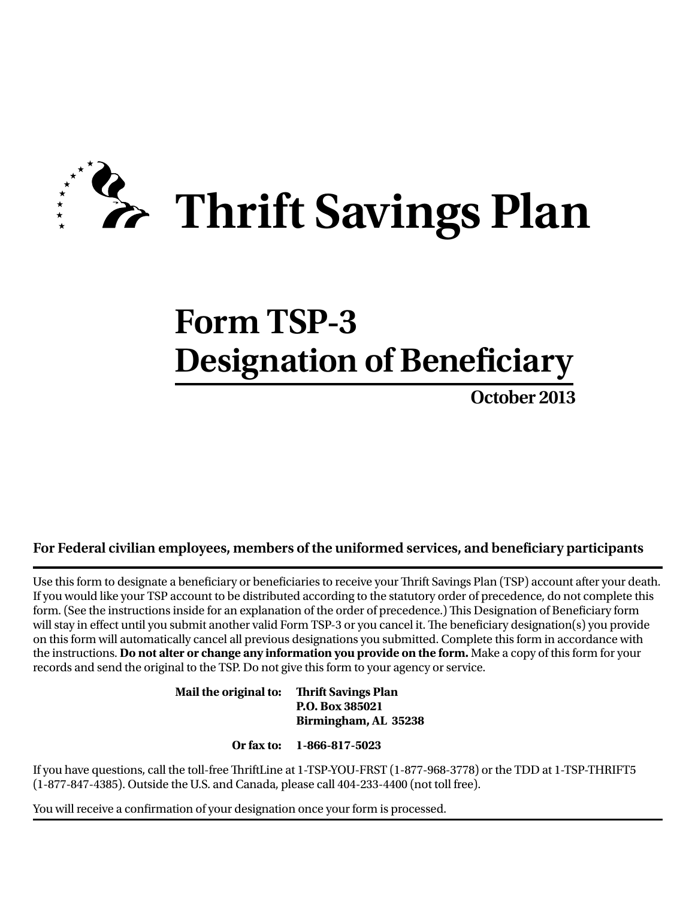

# **Form TSP-3 Designation of Beneficiary**

**October 2013** 

## **For Federal civilian employees, members of the uniformed services, and beneficiary participants**

Use this form to designate a beneficiary or beneficiaries to receive your Thrift Savings Plan (TSP) account after your death. If you would like your TSP account to be distributed according to the statutory order of precedence, do not complete this form. (See the instructions inside for an explanation of the order of precedence.) This Designation of Beneficiary form will stay in effect until you submit another valid Form TSP-3 or you cancel it. The beneficiary designation(s) you provide on this form will automatically cancel all previous designations you submitted. Complete this form in accordance with the instructions. **Do not alter or change any information you provide on the form.** Make a copy of this form for your records and send the original to the TSP. Do not give this form to your agency or service.

> **Mail the original to: Thrift Savings Plan P.O. Box 385021 Birmingham, AL 35238**

> > **Or fax to: 1-866-817-5023**

If you have questions, call the toll-free ThriftLine at 1-TSP-YOU-FRST (1-877-968-3778) or the TDD at 1-TSP-THRIFT5 (1-877-847-4385). Outside the U.S. and Canada, please call 404-233-4400 (not toll free).

You will receive a confirmation of your designation once your form is processed.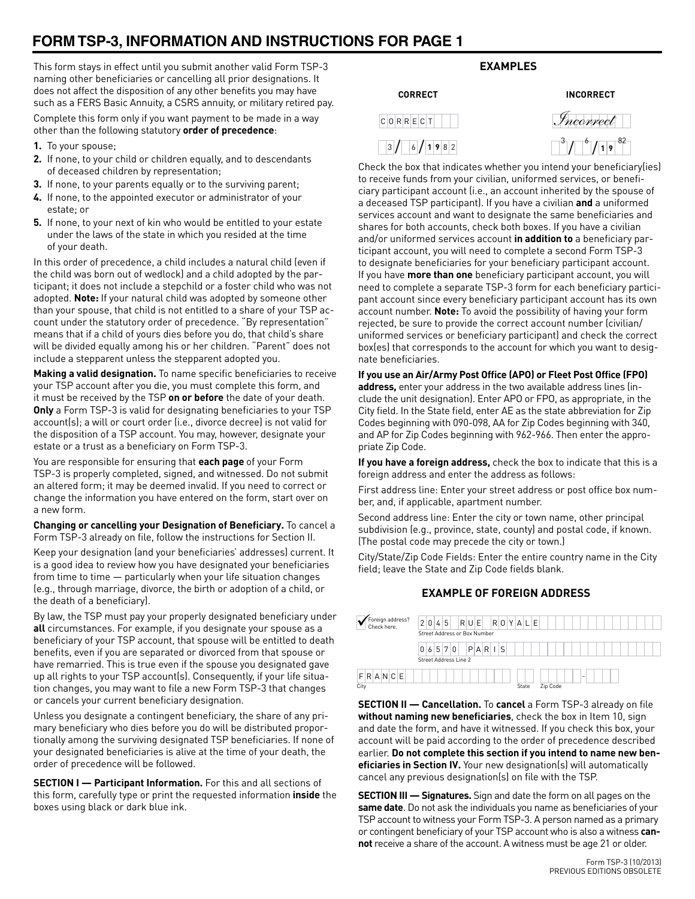# **FORM TSP-3, INFORMATION AND INSTRUCTIONS FOR PAGE 1**

This form stays in effect until you submit another valid Form TSP-3 naming other beneficiaries or cancelling all prior designations. It does not affect the disposition of any other benefits you may have such as a FERS Basic Annuity, a CSRS annuity, or military retired pay.

Complete this form only if you want payment to be made in a way other than the following statutory **order of precedence**:

- **1.** To your spouse;
- **2.** If none, to your child or children equally, and to descendants of deceased children by representation;
- **3.** If none, to your parents equally or to the surviving parent;
- **4.** If none, to the appointed executor or administrator of your estate; or
- **5.** If none, to your next of kin who would be entitled to your estate under the laws of the state in which you resided at the time of your death.

In this order of precedence, a child includes a natural child (even if the child was born out of wedlock) and a child adopted by the participant; it does not include a stepchild or a foster child who was not adopted. **Note:** If your natural child was adopted by someone other than your spouse, that child is not entitled to a share of your TSP account under the statutory order of precedence. "By representation" means that if a child of yours dies before you do, that child's share will be divided equally among his or her children. "Parent" does not include a stepparent unless the stepparent adopted you.

**Making a valid designation.** To name specific beneficiaries to receive your TSP account after you die, you must complete this form, and it must be received by the TSP **on or before** the date of your death. **Only** a Form TSP-3 is valid for designating beneficiaries to your TSP account(s); a will or court order (i.e., divorce decree) is not valid for the disposition of a TSP account. You may, however, designate your estate or a trust as a beneficiary on Form TSP-3.

You are responsible for ensuring that **each page** of your Form TSP-3 is properly completed, signed, and witnessed. Do not submit an altered form; it may be deemed invalid. If you need to correct or change the information you have entered on the form, start over on a new form.

**Changing or cancelling your Designation of Beneficiary.** To cancel a Form TSP-3 already on file, follow the instructions for Section II.

Keep your designation (and your beneficiaries' addresses) current. It is a good idea to review how you have designated your beneficiaries from time to time — particularly when your life situation changes (e.g., through marriage, divorce, the birth or adoption of a child, or the death of a beneficiary).

By law, the TSP must pay your properly designated beneficiary under **all** circumstances. For example, if you designate your spouse as a beneficiary of your TSP account, that spouse will be entitled to death benefits, even if you are separated or divorced from that spouse or have remarried. This is true even if the spouse you designated gave up all rights to your TSP account(s). Consequently, if your life situation changes, you may want to file a new Form TSP-3 that changes or cancels your current beneficiary designation.

Unless you designate a contingent beneficiary, the share of any primary beneficiary who dies before you do will be distributed proportionally among the surviving designated TSP beneficiaries. If none of your designated beneficiaries is alive at the time of your death, the order of precedence will be followed.

**SECTION I — Participant Information.** For this and all sections of this form, carefully type or print the requested information **inside** the boxes using black or dark blue ink.

## **Examples**

*Incorrect*

**Correct Incorrect** 

**1 9** 82

| <b>CORRECT</b> | <b>INCORR</b>                                 |
|----------------|-----------------------------------------------|
| c 0 R R E c T  | Incorr                                        |
| 3/6/1982       | $\lceil \cdot \rceil / \lceil \cdot \rceil /$ |

Check the box that indicates whether you intend your beneficiary(ies) to receive funds from your civilian, uniformed services, or beneficiary participant account (i.e., an account inherited by the spouse of a deceased TSP participant). If you have a civilian **and** a uniformed services account and want to designate the same beneficiaries and shares for both accounts, check both boxes. If you have a civilian and/or uniformed services account **in addition to** a beneficiary participant account, you will need to complete a second Form TSP-3 to designate beneficiaries for your beneficiary participant account. If you have **more than one** beneficiary participant account, you will need to complete a separate TSP-3 form for each beneficiary participant account since every beneficiary participant account has its own account number. **Note:** To avoid the possibility of having your form rejected, be sure to provide the correct account number (civilian/ uniformed services or beneficiary participant) and check the correct box(es) that corresponds to the account for which you want to designate beneficiaries.

**If you use an Air/Army Post Office (APO) or Fleet Post Office (FPO) address,** enter your address in the two available address lines (include the unit designation). Enter APO or FPO, as appropriate, in the City field. In the State field, enter AE as the state abbreviation for Zip Codes beginning with 090-098, AA for Zip Codes beginning with 340, and AP for Zip Codes beginning with 962-966. Then enter the appropriate Zip Code.

**If you have a foreign address,** check the box to indicate that this is a foreign address and enter the address as follows:

First address line: Enter your street address or post office box number, and, if applicable, apartment number.

Second address line: Enter the city or town name, other principal subdivision (e.g., province, state, county) and postal code, if known. (The postal code may precede the city or town.)

City/State/Zip Code Fields: Enter the entire country name in the City field; leave the State and Zip Code fields blank.

## **EXAMPLE OF FOREIGN ADDRESS**



**SECTION II — Cancellation.** To **cancel** a Form TSP-3 already on file **without naming new beneficiaries**, check the box in Item 10, sign and date the form, and have it witnessed. If you check this box, your account will be paid according to the order of precedence described earlier. **Do not complete this section if you intend to name new beneficiaries in Section IV.** Your new designation(s) will automatically cancel any previous designation(s) on file with the TSP.

**SECTION III — Signatures.** Sign and date the form on all pages on the **same date**. Do not ask the individuals you name as beneficiaries of your TSP account to witness your Form TSP-3. A person named as a primary or contingent beneficiary of your TSP account who is also a witness **cannot** receive a share of the account. A witness must be age 21 or older.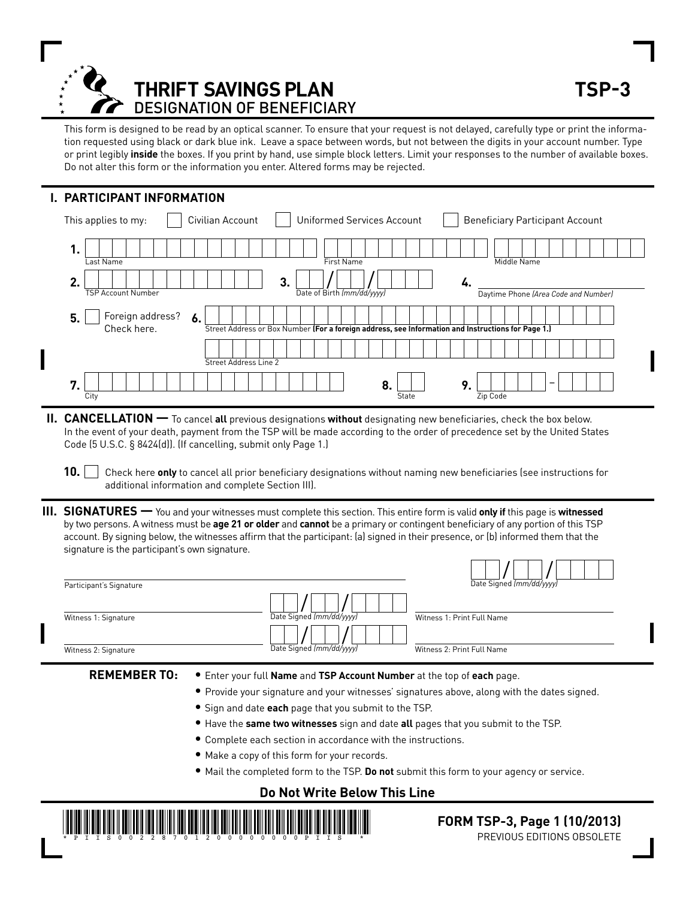

This form is designed to be read by an optical scanner. To ensure that your request is not delayed, carefully type or print the information requested using black or dark blue ink. Leave a space between words, but not between the digits in your account number. Type or print legibly **inside** the boxes. If you print by hand, use simple block letters. Limit your responses to the number of available boxes. Do not alter this form or the information you enter. Altered forms may be rejected.

## **I. participant iNFORMATION**

| Civilian Account<br>This applies to my:     | <b>Uniformed Services Account</b>                                                                  | <b>Beneficiary Participant Account</b> |
|---------------------------------------------|----------------------------------------------------------------------------------------------------|----------------------------------------|
| . .<br>Last Name                            | <b>First Name</b>                                                                                  | Middle Name                            |
| 2.<br><b>TSP Account Number</b>             | 3<br>Date of Birth (mm/dd/yyyy)                                                                    | Daytime Phone (Area Code and Number)   |
| Foreign address?<br>5.<br>6.<br>Check here. | Street Address or Box Number (For a foreign address, see Information and Instructions for Page 1.) |                                        |
| Street Address Line 2                       |                                                                                                    |                                        |
| 7<br>City                                   | 8<br>State                                                                                         | o<br>Zip Code                          |

- **II. CANCELLATION —** To cancel all previous designations without designating new beneficiaries, check the box below. In the event of your death, payment from the TSP will be made according to the order of precedence set by the United States Code (5 U.S.C. § 8424(d)). (If cancelling, submit only Page 1.)
	- **10.** Check here **only** to cancel all prior beneficiary designations without naming new beneficiaries (see instructions for additional information and complete Section III).
- **III. SIGNATURES —** You and your witnesses must complete this section. This entire form is valid **only if** this page is **witnessed**  by two persons. A witness must be **age 21 or older** and **cannot** be a primary or contingent beneficiary of any portion of this TSP account. By signing below, the witnesses affirm that the participant: (a) signed in their presence, or (b) informed them that the signature is the participant's own signature.

| Participant's Signature |                          | Date Signed (mm/dd/yyyy)   |
|-------------------------|--------------------------|----------------------------|
| Witness 1: Signature    | Date Signed (mm/dd/vyyy) | Witness 1: Print Full Name |
| Witness 2: Signature    | Date Signed (mm/dd/ww)   | Witness 2: Print Full Name |

- Sign and date **each** page that you submit to the TSP.
- Have the **same two witnesses** sign and date **all** pages that you submit to the TSP.
- Complete each section in accordance with the instructions.
- Make a copy of this form for your records.
- Mail the completed form to the TSP. **Do not** submit this form to your agency or service.
	- **Do Not Write Below This Line**



 **FORM TSP-3, Page 1 (10/2013)** PREVIOUS EDITIONS OBSOLETE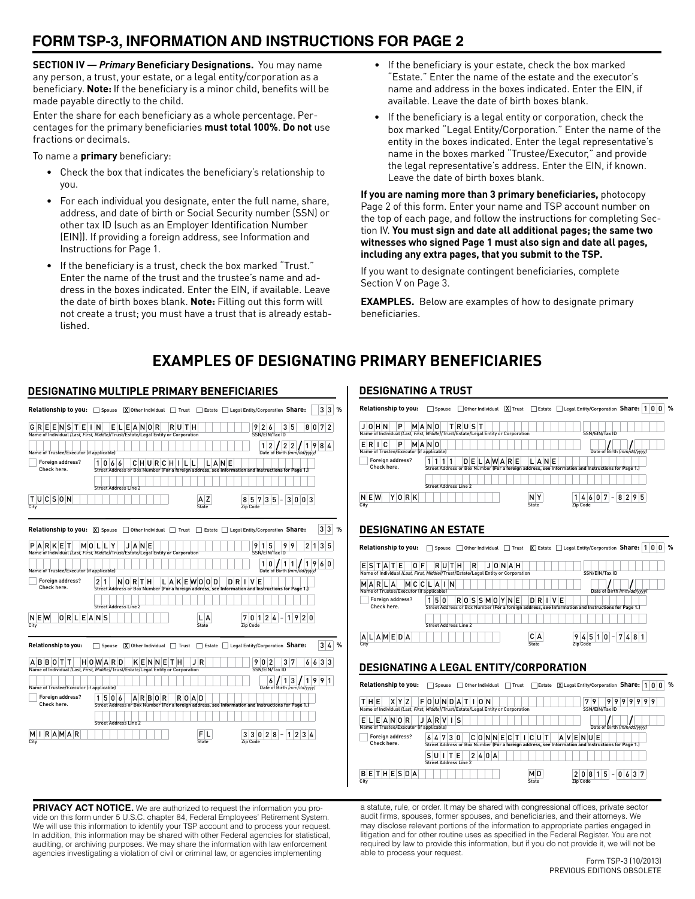## **FORM TSP-3, INFORMATION AND INSTRUCTIONS FOR PAGE 2**

**SECTION IV —** *Primary* **Beneficiary Designations.** You may name any person, a trust, your estate, or a legal entity/corporation as a beneficiary. **Note:** If the beneficiary is a minor child, benefits will be made payable directly to the child.

Enter the share for each beneficiary as a whole percentage. Percentages for the primary beneficiaries **must total 100%**. **Do not** use fractions or decimals.

To name a **primary** beneficiary:

- Check the box that indicates the beneficiary's relationship to you.
- For each individual you designate, enter the full name, share, address, and date of birth or Social Security number (SSN) or other tax ID (such as an Employer Identification Number (EIN)). If providing a foreign address, see Information and Instructions for Page 1.
- If the beneficiary is a trust, check the box marked "Trust." Enter the name of the trust and the trustee's name and address in the boxes indicated. Enter the EIN, if available. Leave the date of birth boxes blank. **Note:** Filling out this form will not create a trust; you must have a trust that is already established.

**DESIGNATING MULTIPLE PRIMARY BENEFICIARIES**

- If the beneficiary is your estate, check the box marked "Estate." Enter the name of the estate and the executor's name and address in the boxes indicated. Enter the EIN, if available. Leave the date of birth boxes blank.
- If the beneficiary is a legal entity or corporation, check the box marked "Legal Entity/Corporation." Enter the name of the entity in the boxes indicated. Enter the legal representative's name in the boxes marked "Trustee/Executor," and provide the legal representative's address. Enter the EIN, if known. Leave the date of birth boxes blank.

**If you are naming more than 3 primary beneficiaries,** photocopy Page 2 of this form. Enter your name and TSP account number on the top of each page, and follow the instructions for completing Section IV. **You must sign and date all additional pages; the same two witnesses who signed Page 1 must also sign and date all pages, including any extra pages, that you submit to the TSP.** 

If you want to designate contingent beneficiaries, complete Section V on Page 3.

**EXAMPLES.** Below are examples of how to designate primary beneficiaries.

# **EXAMPLES OF DESIGNATING PRIMARY BENEFICIARIES**

| DESIGNATING MULTIPLE PRIMARY BENEFICIARIES                                                                          |                              |         |                               |                   |                                                                                                             |                                                     |                             |
|---------------------------------------------------------------------------------------------------------------------|------------------------------|---------|-------------------------------|-------------------|-------------------------------------------------------------------------------------------------------------|-----------------------------------------------------|-----------------------------|
| <b>Relationship to you:</b> Spouse $[\overline{X}]$ Other Individual Trust T Estate Legal Entity/Corporation Share: |                              |         |                               |                   |                                                                                                             |                                                     | 3 3<br>%                    |
| $G$ R E E N S T E I N<br>Name of Individual (Last, First, Middle)/Trust/Estate/Legal Entity or Corporation          |                              | ELEANOR | RUTH                          |                   | 926<br>SSN/EIN/Tax ID                                                                                       | 7 <sup>1</sup><br>3 <sub>5</sub><br>80              | $\overline{2}$              |
| Name of Trustee/Executor (if applicable)                                                                            |                              |         |                               |                   | 1 2                                                                                                         | 2 2 <br>8/4<br>9<br>1<br>Date of Birth (mm/dd/yyyy) |                             |
| Foreign address?<br>Check here.                                                                                     | 1 0 6 6                      |         | <b>CHURCHILL</b>              | LANE              | Street Address or Box Number (For a foreign address, see Information and Instructions for Page 1.)          |                                                     |                             |
|                                                                                                                     | <b>Street Address Line 2</b> |         |                               |                   |                                                                                                             |                                                     |                             |
| TUCSON<br>City                                                                                                      |                              |         |                               | z<br><b>State</b> | $3\vert 5$<br>57<br>Zip Code                                                                                | 300<br>3                                            |                             |
| Relationship to you: X Spouse I Other Individual Trust Estate Legal Entity/Corporation Share:                       |                              |         |                               |                   |                                                                                                             |                                                     | $3\vert 3$<br>$\frac{9}{6}$ |
| PARKET<br>Name of Individual (Last, First, Middle)/Trust/Estate/Legal Entity or Corporation                         | MOLLY                        | JANE    |                               |                   | 9 1 5<br>SSN/EIN/Tax ID                                                                                     | 9<br>9<br>$\overline{2}$<br>$\overline{1}$          | 3 5                         |
| Name of Trustee/Executor (if applicable)                                                                            |                              |         |                               |                   | 1 0                                                                                                         | 1<br>1<br>9<br>1<br>Date of Birth (mm/dd/yyyy)      | 6 0                         |
| Foreign address?<br>Check here.                                                                                     | 2 1                          | NORTH   | L   A   K   E   W   0   0   D |                   | DRIVE<br>Street Address or Box Number (For a foreign address, see Information and Instructions for Page 1.) |                                                     |                             |
|                                                                                                                     | <b>Street Address Line 2</b> |         |                               |                   |                                                                                                             |                                                     |                             |
| 0 R L E A N S<br>$N \mid E \mid W$<br>City                                                                          |                              |         |                               | А<br><b>State</b> | 0 1 2 4<br><b>Zip Code</b>                                                                                  | 1 9 <br>20                                          |                             |
| Relationship to you:                                                                                                |                              |         |                               |                   | Spouse  X  Other Individual   Trust   Estate   Legal Entity/Corporation Share:                              | 3                                                   | %<br>$\overline{4}$         |
| <b>BBOTT</b><br>Name of Individual (Last, First, Middle)/Trust/Estate/Legal Entity or Corporation                   | HOWARD                       |         | KENNETH                       | J R               | 902<br>SSN/EIN/Tax ID                                                                                       | $3 \vert 7$<br>66                                   | 3 3                         |
| Name of Trustee/Executor (if applicable)                                                                            |                              |         |                               |                   | 6                                                                                                           | 3<br>9<br>1<br>1<br>9<br>Date of Birth (mm/dd/yyyy) | 1                           |
| Foreign address?<br>Check here.                                                                                     | 1 5 0 6                      | ARBOR   | ROAD                          |                   | Street Address or Box Number (For a foreign address, see Information and Instructions for Page 1.)          |                                                     |                             |
|                                                                                                                     | <b>Street Address Line 2</b> |         |                               |                   |                                                                                                             |                                                     |                             |
| RAMAR<br>м<br>City                                                                                                  |                              |         |                               | State             | 28<br>3 0<br><b>Zip Code</b>                                                                                | 23<br>1                                             |                             |

## **DESIGNATING A TRUST**

| Relationship to you:                                     | □ Spouse □ Other Individual ■ Trust □ Estate □ Legal Entity/Corporation Share: 1 0 0                                                         |                                                  | %                                          |
|----------------------------------------------------------|----------------------------------------------------------------------------------------------------------------------------------------------|--------------------------------------------------|--------------------------------------------|
| JOHN<br>P                                                | TRUST<br>MANO<br>Name of Individual (Last, First, Middle)/Trust/Estate/Legal Entity or Corporation                                           |                                                  | SSN/EIN/Tax ID                             |
| $E$ RIC<br>P<br>Name of Trustee/Executor (if applicable) | MANO                                                                                                                                         |                                                  | Date of Birth (mm/dd/yyyy)                 |
| Foreign address?<br>Check here.                          | DELAWARE<br>111<br>1 <sup>1</sup><br>1<br>Street Address or Box Number (For a foreign address, see Information and Instructions for Page 1.) | LANE                                             |                                            |
|                                                          | Street Address Line 2                                                                                                                        |                                                  |                                            |
| <b>NEW</b><br>YORK<br>City                               |                                                                                                                                              | 4 6 0 7<br>ΝY<br><b>Zip Code</b><br><b>State</b> | 8 2 9 5<br>$\sim$                          |
| <b>DESIGNATING AN ESTATE</b>                             |                                                                                                                                              |                                                  |                                            |
|                                                          | <b>Relationship to you:</b> Spouse Other Individual Trust $X$ Estate Legal Entity/Corporation Share: 1 0 0                                   |                                                  | %                                          |
| ESTATE<br>0 F                                            | R U<br>R<br>JONAH<br>т н<br>Name of Individual (Last, First, Middle)/Trust/Estate/Legal Entity or Corporation                                |                                                  | SSN/EIN/Tax ID                             |
| MARLA<br>Name of Trustee/Executor (if applicable)        | MCCLAIN                                                                                                                                      |                                                  | Date of Birth (mm/dd/yyyy)                 |
| Foreign address?<br>Check here.                          | 150<br>ROSSMOYNE<br>Street Address or Box Number (For a foreign address, see Information and Instructions for Page 1.)                       | D R I V E                                        |                                            |
|                                                          | <b>Street Address Line 2</b>                                                                                                                 |                                                  |                                            |
| ALAMEDA<br>City                                          |                                                                                                                                              | СA<br>$9 4 5 1 0 $ –<br>State<br>Zip Code        | 7481                                       |
|                                                          | DESIGNATING A LEGAL ENTITY/CORPORATION                                                                                                       |                                                  |                                            |
| Relationship to you:                                     | □ Spouse □ Other Individual □ Trust □ Estate ■ Eugal Entity/Corporation Share: 1 0 0                                                         |                                                  | %                                          |
| XYZ<br>THE                                               | $F[0 U N[D A T ]$ $ 0 N$<br>Name of Individual (Last, First, Middle)/Trust/Estate/Legal Entity or Corporation                                | 79                                               | 999<br>9<br>19<br>9<br>9<br>SSN/EIN/Tax ID |
| ELEANOR<br>Name of Trustee/Executor (if applicable)      | JARVIS                                                                                                                                       |                                                  | Date of Birth (mm/dd/yyyy)                 |
| Foreign address?<br>Check here.                          | 647<br>3<br>0<br>C O N N E C T<br>Ш<br>Street Address or Box Number (For a foreign address, see Information and Instructions for Page 1.)    | C U T<br>AVENUE                                  |                                            |
|                                                          | SUITE<br>240A<br><b>Street Address Line 2</b>                                                                                                |                                                  |                                            |
| <b>BETHESDA</b><br>City                                  |                                                                                                                                              | 20815<br>мD<br>Zip Code<br><b>State</b>          | 0 6 3 7                                    |

**PRIVACY ACT NOTICE.** We are authorized to request the information you provide on this form under 5 U.S.C. chapter 84, Federal Employees' Retirement System. We will use this information to identify your TSP account and to process your request. In addition, this information may be shared with other Federal agencies for statistical, auditing, or archiving purposes. We may share the information with law enforcement agencies investigating a violation of civil or criminal law, or agencies implementing

a statute, rule, or order. It may be shared with congressional offices, private sector audit firms, spouses, former spouses, and beneficiaries, and their attorneys. We may disclose relevant portions of the information to appropriate parties engaged in litigation and for other routine uses as specified in the Federal Register. You are not required by law to provide this information, but if you do not provide it, we will not be able to process your request.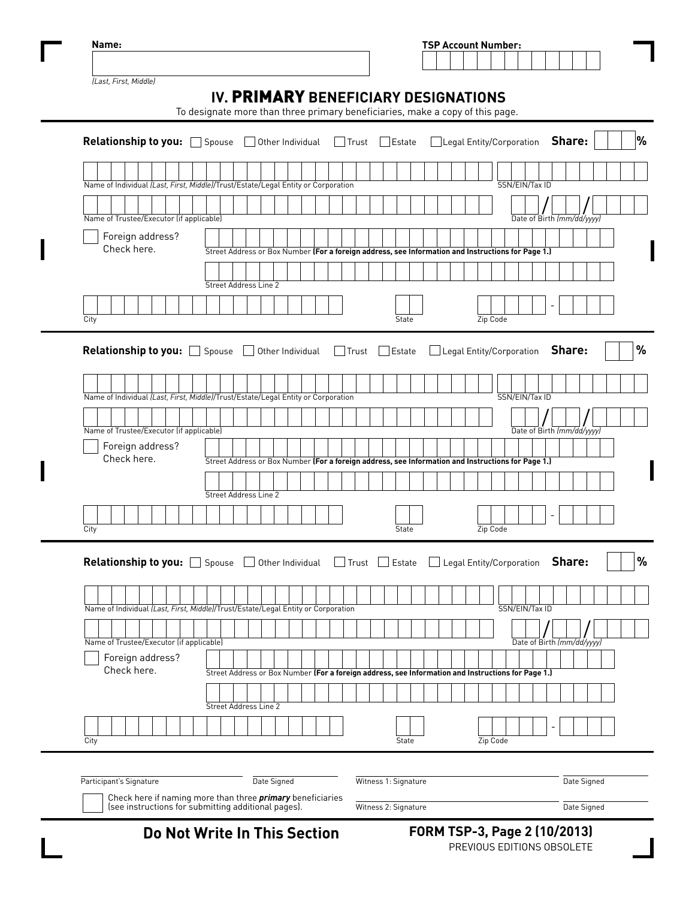|                                                                                              |                                                                                                    |                  | <b>TSP Account Number:</b> |                     |                      |                                 |                                        |                            |        |             |
|----------------------------------------------------------------------------------------------|----------------------------------------------------------------------------------------------------|------------------|----------------------------|---------------------|----------------------|---------------------------------|----------------------------------------|----------------------------|--------|-------------|
|                                                                                              |                                                                                                    |                  |                            |                     |                      |                                 |                                        |                            |        |             |
| (Last, First, Middle)                                                                        |                                                                                                    |                  |                            |                     |                      |                                 |                                        |                            |        |             |
|                                                                                              | IV. PRIMARY BENEFICIARY DESIGNATIONS                                                               |                  |                            |                     |                      |                                 |                                        |                            |        |             |
|                                                                                              | To designate more than three primary beneficiaries, make a copy of this page.                      |                  |                            |                     |                      |                                 |                                        |                            |        |             |
|                                                                                              |                                                                                                    |                  |                            |                     |                      |                                 |                                        |                            |        |             |
| Relationship to you: Spouse                                                                  |                                                                                                    | Other Individual |                            | Trust               | Estate               |                                 | Legal Entity/Corporation <b>Share:</b> |                            |        |             |
|                                                                                              |                                                                                                    |                  |                            |                     |                      |                                 |                                        |                            |        |             |
|                                                                                              |                                                                                                    |                  |                            |                     |                      |                                 |                                        |                            |        |             |
| Name of Individual (Last, First, Middle)/Trust/Estate/Legal Entity or Corporation            |                                                                                                    |                  |                            |                     |                      |                                 |                                        | SSN/EIN/Tax ID             |        |             |
|                                                                                              |                                                                                                    |                  |                            |                     |                      |                                 |                                        |                            |        |             |
| Name of Trustee/Executor (if applicable)                                                     |                                                                                                    |                  |                            |                     |                      |                                 |                                        | Date of Birth (mm/dd/yyyy) |        |             |
| Foreign address?                                                                             |                                                                                                    |                  |                            |                     |                      |                                 |                                        |                            |        |             |
| Check here.                                                                                  | Street Address or Box Number (For a foreign address, see Information and Instructions for Page 1.) |                  |                            |                     |                      |                                 |                                        |                            |        |             |
|                                                                                              |                                                                                                    |                  |                            |                     |                      |                                 |                                        |                            |        |             |
|                                                                                              | Street Address Line 2                                                                              |                  |                            |                     |                      |                                 |                                        |                            |        |             |
|                                                                                              |                                                                                                    |                  |                            |                     |                      |                                 |                                        |                            |        |             |
|                                                                                              |                                                                                                    |                  |                            |                     |                      |                                 |                                        |                            |        |             |
| City                                                                                         |                                                                                                    |                  |                            |                     | State                |                                 | Zip Code                               |                            |        |             |
|                                                                                              |                                                                                                    |                  |                            |                     |                      |                                 |                                        |                            |        |             |
| Relationship to you: Spouse                                                                  | $\mathbf{I}$                                                                                       | Other Individual |                            | $\Box$ Trust        | $\Box$ Estate        | Legal Entity/Corporation        |                                        |                            | Share: |             |
|                                                                                              |                                                                                                    |                  |                            |                     |                      |                                 |                                        |                            |        |             |
|                                                                                              |                                                                                                    |                  |                            |                     |                      |                                 |                                        |                            |        |             |
| Name of Individual (Last, First, Middle)/Trust/Estate/Legal Entity or Corporation            |                                                                                                    |                  |                            |                     |                      |                                 |                                        | SSN/EIN/Tax ID             |        |             |
|                                                                                              |                                                                                                    |                  |                            |                     |                      |                                 |                                        |                            |        |             |
| Name of Trustee/Executor (if applicable)                                                     |                                                                                                    |                  |                            |                     |                      |                                 |                                        | Date of Birth (mm/dd/yyyy) |        |             |
| Foreign address?                                                                             |                                                                                                    |                  |                            |                     |                      |                                 |                                        |                            |        |             |
| Check here.                                                                                  | Street Address or Box Number (For a foreign address, see Information and Instructions for Page 1.) |                  |                            |                     |                      |                                 |                                        |                            |        |             |
|                                                                                              |                                                                                                    |                  |                            |                     |                      |                                 |                                        |                            |        |             |
|                                                                                              | Street Address Line 2                                                                              |                  |                            |                     |                      |                                 |                                        |                            |        |             |
|                                                                                              |                                                                                                    |                  |                            |                     |                      |                                 |                                        |                            |        |             |
| City                                                                                         |                                                                                                    |                  |                            |                     | State                |                                 | Zip Code                               |                            |        |             |
|                                                                                              |                                                                                                    |                  |                            |                     |                      |                                 |                                        |                            |        |             |
|                                                                                              |                                                                                                    |                  |                            | $\Box$ Trust $\Box$ | Estate               | Legal Entity/Corporation Share: |                                        |                            |        |             |
|                                                                                              |                                                                                                    |                  |                            |                     |                      |                                 |                                        |                            |        |             |
| Relationship to you: Spouse J Other Individual                                               |                                                                                                    |                  |                            |                     |                      |                                 |                                        |                            |        |             |
|                                                                                              |                                                                                                    |                  |                            |                     |                      |                                 |                                        |                            |        |             |
|                                                                                              |                                                                                                    |                  |                            |                     |                      |                                 |                                        | SSN/EIN/Tax ID             |        |             |
| Name of Individual (Last, First, Middle)/Trust/Estate/Legal Entity or Corporation            |                                                                                                    |                  |                            |                     |                      |                                 |                                        |                            |        |             |
|                                                                                              |                                                                                                    |                  |                            |                     |                      |                                 |                                        |                            |        |             |
| Name of Trustee/Executor (if applicable)                                                     |                                                                                                    |                  |                            |                     |                      |                                 |                                        | Date of Birth (mm/dd/yyyy) |        |             |
| Foreign address?<br>Check here.                                                              |                                                                                                    |                  |                            |                     |                      |                                 |                                        |                            |        |             |
|                                                                                              | Street Address or Box Number (For a foreign address, see Information and Instructions for Page 1.) |                  |                            |                     |                      |                                 |                                        |                            |        |             |
|                                                                                              |                                                                                                    |                  |                            |                     |                      |                                 |                                        |                            |        |             |
|                                                                                              | Street Address Line 2                                                                              |                  |                            |                     |                      |                                 |                                        |                            |        |             |
|                                                                                              |                                                                                                    |                  |                            |                     |                      |                                 |                                        |                            |        |             |
| City                                                                                         |                                                                                                    |                  |                            |                     | State                |                                 | Zip Code                               |                            |        |             |
|                                                                                              |                                                                                                    |                  |                            |                     |                      |                                 |                                        |                            |        |             |
|                                                                                              |                                                                                                    |                  |                            |                     |                      |                                 |                                        |                            |        |             |
| Participant's Signature<br>Check here if naming more than three <i>primary</i> beneficiaries |                                                                                                    | Date Signed      |                            |                     | Witness 1: Signature |                                 |                                        |                            |        | Date Signed |

**Do Not Write In This Section FORM TSP-3, Page 2 (10/2013)**

PREVIOUS EDITIONS OBSOLETE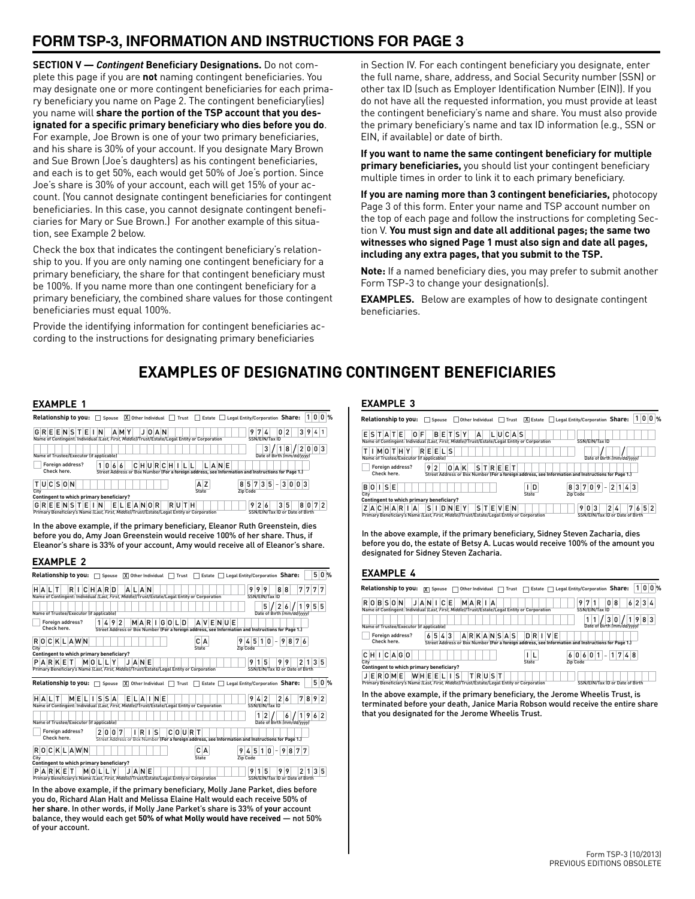# **FORM TSP-3, INFORMATION AND INSTRUCTIONS FOR PAGE 3**

**SECTION V —** *Contingent* **Beneficiary Designations.** Do not complete this page if you are **not** naming contingent beneficiaries. You may designate one or more contingent beneficiaries for each primary beneficiary you name on Page 2. The contingent beneficiary(ies) you name will **share the portion of the TSP account that you designated for a specific primary beneficiary who dies before you do**. For example, Joe Brown is one of your two primary beneficiaries, and his share is 30% of your account. If you designate Mary Brown and Sue Brown (Joe's daughters) as his contingent beneficiaries, and each is to get 50%, each would get 50% of Joe's portion. Since Joe's share is 30% of your account, each will get 15% of your account. (You cannot designate contingent beneficiaries for contingent beneficiaries. In this case, you cannot designate contingent beneficiaries for Mary or Sue Brown.) For another example of this situation, see Example 2 below.

Check the box that indicates the contingent beneficiary's relationship to you. If you are only naming one contingent beneficiary for a primary beneficiary, the share for that contingent beneficiary must be 100%. If you name more than one contingent beneficiary for a primary beneficiary, the combined share values for those contingent beneficiaries must equal 100%.

Provide the identifying information for contingent beneficiaries according to the instructions for designating primary beneficiaries

in Section IV. For each contingent beneficiary you designate, enter the full name, share, address, and Social Security number (SSN) or other tax ID (such as Employer Identification Number (EIN)). If you do not have all the requested information, you must provide at least the contingent beneficiary's name and share. You must also provide the primary beneficiary's name and tax ID information (e.g., SSN or EIN, if available) or date of birth.

**If you want to name the same contingent beneficiary for multiple primary beneficiaries,** you should list your contingent beneficiary multiple times in order to link it to each primary beneficiary.

**If you are naming more than 3 contingent beneficiaries,** photocopy Page 3 of this form. Enter your name and TSP account number on the top of each page and follow the instructions for completing Section V. **You must sign and date all additional pages; the same two witnesses who signed Page 1 must also sign and date all pages, including any extra pages, that you submit to the TSP.**

**Note:** If a named beneficiary dies, you may prefer to submit another Form TSP-3 to change your designation(s).

**EXAMPLES.** Below are examples of how to designate contingent beneficiaries.

# **EXAMPLES OF DESIGNATING CONTINGENT BENEFICIARIES**

#### **EXAMPLE 1**

|                                          | Relationship to you: Spouse X Other Individual Trust Estate Legal Entity/Corporation Share:                                            |              | $0\%$<br>0                                                                            |
|------------------------------------------|----------------------------------------------------------------------------------------------------------------------------------------|--------------|---------------------------------------------------------------------------------------|
| GREENSTEIN                               | AMY<br>JOAN                                                                                                                            |              | 3941<br>0<br>$\overline{2}$<br>97<br>4                                                |
|                                          | Name of Contingent: Individual (Last, First, Middle)/Trust/Estate/Legal Entity or Corporation                                          |              | SSN/EIN/Tax ID                                                                        |
| Name of Trustee/Executor (if applicable) |                                                                                                                                        |              | /2003<br>/ 18<br>3<br>Date of Birth (mm/dd/yyyy)                                      |
|                                          |                                                                                                                                        |              |                                                                                       |
| Foreign address?<br>Check here.          | $ C H U R C H I L L $<br>1 0 6 6<br>Street Address or Box Number (For a foreign address, see Information and Instructions for Page 1.) | LANE         |                                                                                       |
| <b>TUCSON</b><br>City                    |                                                                                                                                        | A Z<br>State | $8 \mid 5 \mid 7 \mid 3 \mid 5 \mid - \mid 3 \mid 0 \mid 0 \mid 3$<br><b>Zip Code</b> |
|                                          |                                                                                                                                        |              |                                                                                       |
| Contingent to which primary beneficiary? |                                                                                                                                        |              |                                                                                       |
| <b>GREENSTEIN</b>                        | ELEANOR                                                                                                                                | RUTH         | 8 0 7 2<br>$3\vert 5$<br>26<br>9                                                      |
|                                          | Primary Beneficiary's Name (Last, First, Middle)/Trust/Estate/Legal Entity or Corporation                                              |              | SSN/EIN/Tax ID or Date of Birth                                                       |

In the above example, if the primary beneficiary, Eleanor Ruth Greenstein, dies before you do, Amy Joan Greenstein would receive 100% of her share. Thus, if Eleanor's share is 33% of your account, Amy would receive all of Eleanor's share.

#### **EXAMPLE 2**

| 5<br>$0\%$<br>Relationship to you: $\Box$ Spouse<br>$\overline{X}$ Other Individual $\Box$ Trust $\Box$ Estate $\Box$ Legal Entity/Corporation Share:                                                             |
|-------------------------------------------------------------------------------------------------------------------------------------------------------------------------------------------------------------------|
| RICHARD<br>9<br>7 <sup>1</sup><br><b>ALAN</b><br>9<br>19<br>8<br>8<br>7<br>77<br>HALT<br>Name of Contingent: Individual (Last, First, Middle)/Trust/Estate/Legal Entity or Corporation<br>SSN/EIN/Tax ID          |
| 5<br>$\overline{2}$<br>55<br>9<br>1<br>6<br>Name of Trustee/Executor (if applicable)<br>Date of Birth (mm/dd/yyyy)                                                                                                |
| Foreign address?<br>AVENUE<br>1 4 9 2<br>MARIGOLD<br>Check here.<br>Street Address or Box Number (For a foreign address, see Information and Instructions for Page 1.)                                            |
| C A<br>ROCKLAWN<br>5<br>$-9$<br>876<br>$\frac{1}{2}$<br>$\mathbf{0}$<br>9<br>$\mathbf{1}$<br><b>Zip Code</b><br>City<br>State                                                                                     |
| Contingent to which primary beneficiary?                                                                                                                                                                          |
| PARKET<br>MOLLY<br>JANE<br>9<br>5<br>9<br>9<br>3 <sup>1</sup><br>5<br>1<br>2<br>1<br>Primary Beneficiary's Name (Last, First, Middle)/Trust/Estate/Legal Entity or Corporation<br>SSN/EIN/Tax ID or Date of Birth |
| 5<br>$0\%$<br>Relationship to you: $\Box$ Spouse<br>$\boxed{\mathsf{X}}$ Other Individual $\boxed{\phantom{a}}$<br>Legal Entity/Corporation Share:<br>Trust<br>Estate $\Box$                                      |
| <b>MELISSA</b><br>26<br>7<br>8 9 <br>$\overline{2}$<br>HALT<br>ELAINE<br>9<br>2<br>4<br>Name of Contingent: Individual ILast, First, Middle//Trust/Estate/Legal Entity or Corporation<br>SSN/EIN/Tax ID           |
| 2<br>$\overline{2}$<br>$\mathbf{1}$<br>9<br>1<br>6<br>6<br>Name of Trustee/Executor (if applicable)<br>Date of Birth (mm/dd/yyyy)                                                                                 |
| Foreign address?<br>$C$ $O$ $U$ $R$ $T$<br>2007<br>$I \R I$                                                                                                                                                       |
| Check here.<br>Street Address or Box Number (For a foreign address, see Information and Instructions for Page 1.)                                                                                                 |
|                                                                                                                                                                                                                   |
| 0CKLAWN<br>$4\vert 5$<br>9<br>877<br>C A<br>9<br>10<br>R<br>$\overline{a}$                                                                                                                                        |
| City<br>State<br>Zip Code                                                                                                                                                                                         |
| Contingent to which primary beneficiary?                                                                                                                                                                          |
| 99<br>PARKET<br>MOLLY<br>5<br>2<br>3<br>5<br>JANE<br>9<br>1<br>Primary Beneficiary's Name (Last, First, Middle)/Trust/Estate/Legal Entity or Corporation<br>SSN/EIN/Tax ID or Date of Birth                       |

In the above example, if the primary beneficiary, Molly Jane Parket, dies before you do, Richard Alan Halt and Melissa Elaine Halt would each receive 50% of **her share**. In other words, if Molly Jane Parket's share is 33% of **your** account balance, they would each get **50% of what Molly would have received** — not 50% of your account.

#### **EXAMPLE 3**

| Relationship to you: $\Box$<br>Spouse Other Individual Trust $\boxed{X}$ Estate Legal Entity/Corporation Share:                                                                | 010%<br>1                                                                                |
|--------------------------------------------------------------------------------------------------------------------------------------------------------------------------------|------------------------------------------------------------------------------------------|
| <b>BETSY</b><br>0 F<br>LUCAS<br>ESTATE<br>A<br>Name of Contingent: Individual (Last, First, Middle)/Trust/Estate/Legal Entity or Corporation                                   | SSN/EIN/Tax ID                                                                           |
| REELS<br>TIMOTHY<br>Name of Trustee/Executor (if applicable)                                                                                                                   | Date of Birth Imm/dd/vvvvl                                                               |
| Foreign address?<br>STREET<br>0A K<br>$\overline{2}$<br>9<br>Check here.<br>Street Address or Box Number (For a foreign address, see Information and Instructions for Page 1.) |                                                                                          |
| <b>BOISE</b><br>I D<br>State<br>City<br>Contingent to which primary beneficiary?                                                                                               | 9<br>8370<br>2 <sup>1</sup><br>$1 \mid 4 \mid 3$<br>$\qquad \qquad -$<br><b>Zip Code</b> |
| STEVEN<br>ZACHARIA<br>SIDNEY<br>Primary Beneficiary's Name (Last, First, Middle)/Trust/Estate/Legal Entity or Corporation                                                      | 7652<br>2 <sub>4</sub><br>9<br>0<br>3<br>SSN/EIN/Tax ID or Date of Birth                 |

In the above example, if the primary beneficiary, Sidney Steven Zacharia, dies before you do, the estate of Betsy A. Lucas would receive 100% of the amount you designated for Sidney Steven Zacharia.

#### **EXAMPLE 4**

| Relationship to you:  X  Spouse   Other Individual   Trust                                                                                                        |         |  |                                                                                                    |  |       |  |                |             | Estate $\Box$ |  | Legal Entity/Corporation Share: |                                       |                      |   |   |   |  | 1 <sup>1</sup>                  | 00% |
|-------------------------------------------------------------------------------------------------------------------------------------------------------------------|---------|--|----------------------------------------------------------------------------------------------------|--|-------|--|----------------|-------------|---------------|--|---------------------------------|---------------------------------------|----------------------|---|---|---|--|---------------------------------|-----|
| JANICE MARIA<br><b>ROBSON</b><br>Name of Contingent: Individual ILast, First, Middle IT Trust/Estate/Legal Entity or Corporation                                  |         |  |                                                                                                    |  |       |  |                |             |               |  |                                 | 9                                     | 7 <br>SSN/EIN/Tax ID | 1 | 0 | 8 |  | 6 2 3 4                         |     |
| Name of Trustee/Executor (if applicable)                                                                                                                          |         |  |                                                                                                    |  |       |  |                |             |               |  |                                 |                                       |                      |   |   |   |  |                                 |     |
| Foreign address?<br>Check here.                                                                                                                                   | 6 5 4 3 |  | Street Address or Box Number (For a foreign address, see Information and Instructions for Page 1.) |  |       |  | ARKANSAS DRIVE |             |               |  |                                 |                                       |                      |   |   |   |  |                                 |     |
| CHICAGO<br>City                                                                                                                                                   |         |  |                                                                                                    |  |       |  |                | ШL<br>State |               |  |                                 | $6 0 6 0 1$ - 1748<br><b>Zip Code</b> |                      |   |   |   |  |                                 |     |
| Contingent to which primary beneficiary?<br><b>JEROME</b><br>WHEELIS<br>Primary Beneficiary's Name (Last, First, Middle)/Trust/Estate/Legal Entity or Corporation |         |  |                                                                                                    |  | TRUST |  |                |             |               |  |                                 |                                       |                      |   |   |   |  | SSN/EIN/Tax ID or Date of Birth |     |

In the above example, if the primary beneficiary, the Jerome Wheelis Trust, is terminated before your death, Janice Maria Robson would receive the entire share that you designated for the Jerome Wheelis Trust.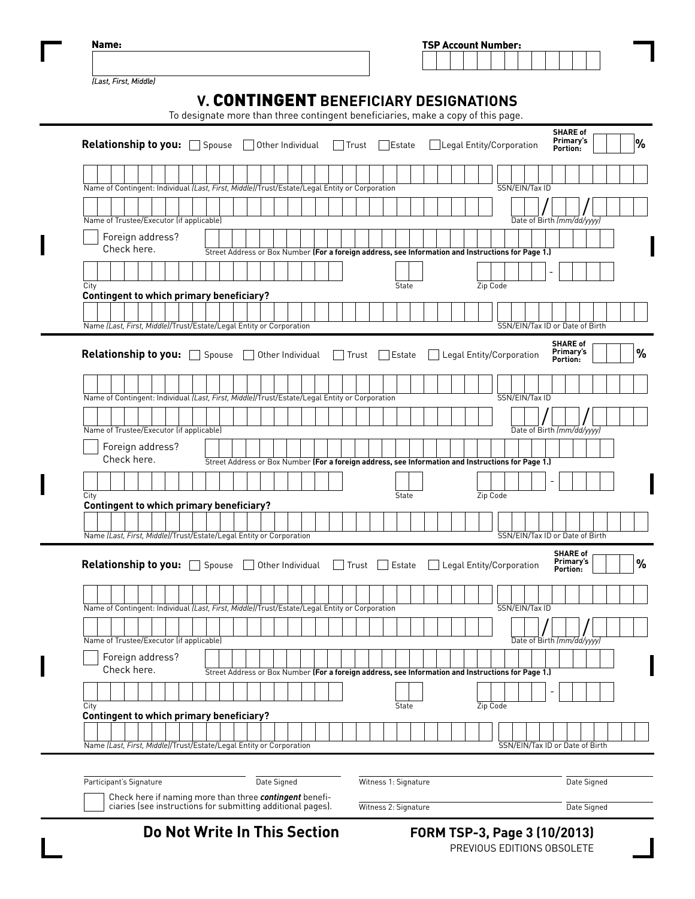| <b>TSP Account Number:</b> |  |  |  |  |  |  |
|----------------------------|--|--|--|--|--|--|
|                            |  |  |  |  |  |  |
|                            |  |  |  |  |  |  |

*(Last, First, Middle)*

| Relationship to you: Spouse [                                                                 |  |                                 |  |  |  |  |  |  |  | Other Individual |  | Trust |       |  | Estate       |  |  |  |          |  | Legal Entity/Corporation                                                                           |  | <b>SHARE of</b><br>Primary's<br>Portion: |  |  |
|-----------------------------------------------------------------------------------------------|--|---------------------------------|--|--|--|--|--|--|--|------------------|--|-------|-------|--|--------------|--|--|--|----------|--|----------------------------------------------------------------------------------------------------|--|------------------------------------------|--|--|
|                                                                                               |  |                                 |  |  |  |  |  |  |  |                  |  |       |       |  |              |  |  |  |          |  |                                                                                                    |  |                                          |  |  |
| Name of Contingent: Individual (Last, First, Middle)/Trust/Estate/Legal Entity or Corporation |  |                                 |  |  |  |  |  |  |  |                  |  |       |       |  |              |  |  |  |          |  | SSN/EIN/Tax ID                                                                                     |  |                                          |  |  |
|                                                                                               |  |                                 |  |  |  |  |  |  |  |                  |  |       |       |  |              |  |  |  |          |  |                                                                                                    |  |                                          |  |  |
| Name of Trustee/Executor (if applicable)                                                      |  |                                 |  |  |  |  |  |  |  |                  |  |       |       |  |              |  |  |  |          |  | Date of Birth (mm/dd/yyyy)                                                                         |  |                                          |  |  |
|                                                                                               |  | Foreign address?<br>Check here. |  |  |  |  |  |  |  |                  |  |       |       |  |              |  |  |  |          |  |                                                                                                    |  |                                          |  |  |
|                                                                                               |  |                                 |  |  |  |  |  |  |  |                  |  |       |       |  |              |  |  |  |          |  | Street Address or Box Number (For a foreign address, see Information and Instructions for Page 1.) |  |                                          |  |  |
| City                                                                                          |  |                                 |  |  |  |  |  |  |  |                  |  |       |       |  | State        |  |  |  | Zip Code |  |                                                                                                    |  |                                          |  |  |
| <b>Contingent to which primary beneficiary?</b>                                               |  |                                 |  |  |  |  |  |  |  |                  |  |       |       |  |              |  |  |  |          |  |                                                                                                    |  |                                          |  |  |
|                                                                                               |  |                                 |  |  |  |  |  |  |  |                  |  |       |       |  |              |  |  |  |          |  |                                                                                                    |  |                                          |  |  |
| Name (Last, First, Middle)/Trust/Estate/Legal Entity or Corporation                           |  |                                 |  |  |  |  |  |  |  |                  |  |       |       |  |              |  |  |  |          |  | SSN/EIN/Tax ID or Date of Birth                                                                    |  |                                          |  |  |
| Relationship to you: Spouse                                                                   |  |                                 |  |  |  |  |  |  |  | Other Individual |  |       | Trust |  | Estate       |  |  |  |          |  | Legal Entity/Corporation                                                                           |  | <b>SHARE of</b><br>Primary's<br>Portion: |  |  |
|                                                                                               |  |                                 |  |  |  |  |  |  |  |                  |  |       |       |  |              |  |  |  |          |  |                                                                                                    |  |                                          |  |  |
| Name of Contingent: Individual (Last, First, Middle)/Trust/Estate/Legal Entity or Corporation |  |                                 |  |  |  |  |  |  |  |                  |  |       |       |  |              |  |  |  |          |  | SSN/EIN/Tax ID                                                                                     |  |                                          |  |  |
|                                                                                               |  |                                 |  |  |  |  |  |  |  |                  |  |       |       |  |              |  |  |  |          |  |                                                                                                    |  |                                          |  |  |
| Name of Trustee/Executor (if applicable)                                                      |  |                                 |  |  |  |  |  |  |  |                  |  |       |       |  |              |  |  |  |          |  | Date of Birth (mm/dd/yyyy)                                                                         |  |                                          |  |  |
|                                                                                               |  | Foreign address?<br>Check here. |  |  |  |  |  |  |  |                  |  |       |       |  |              |  |  |  |          |  | Street Address or Box Number (For a foreign address, see Information and Instructions for Page 1.) |  |                                          |  |  |
|                                                                                               |  |                                 |  |  |  |  |  |  |  |                  |  |       |       |  |              |  |  |  |          |  |                                                                                                    |  |                                          |  |  |
| City                                                                                          |  |                                 |  |  |  |  |  |  |  |                  |  |       |       |  | State        |  |  |  | Zip Code |  |                                                                                                    |  |                                          |  |  |
| <b>Contingent to which primary beneficiary?</b>                                               |  |                                 |  |  |  |  |  |  |  |                  |  |       |       |  |              |  |  |  |          |  |                                                                                                    |  |                                          |  |  |
|                                                                                               |  |                                 |  |  |  |  |  |  |  |                  |  |       |       |  |              |  |  |  |          |  |                                                                                                    |  |                                          |  |  |
| Name (Last, First, Middle)/Trust/Estate/Legal Entity or Corporation                           |  |                                 |  |  |  |  |  |  |  |                  |  |       |       |  |              |  |  |  |          |  | SSN/EIN/Tax ID or Date of Birth                                                                    |  |                                          |  |  |
| Relationship to you: Spouse                                                                   |  |                                 |  |  |  |  |  |  |  | Other Individual |  |       | Trust |  | Estate       |  |  |  |          |  | Legal Entity/Corporation                                                                           |  | <b>SHARE of</b><br>Primary's<br>Portion: |  |  |
|                                                                                               |  |                                 |  |  |  |  |  |  |  |                  |  |       |       |  |              |  |  |  |          |  |                                                                                                    |  |                                          |  |  |
| Name of Contingent: Individual (Last, First, Middle)/Trust/Estate/Legal Entity or Corporation |  |                                 |  |  |  |  |  |  |  |                  |  |       |       |  |              |  |  |  |          |  | SSN/EIN/Tax ID                                                                                     |  |                                          |  |  |
|                                                                                               |  |                                 |  |  |  |  |  |  |  |                  |  |       |       |  |              |  |  |  |          |  |                                                                                                    |  |                                          |  |  |
| Name of Trustee/Executor (if applicable)                                                      |  |                                 |  |  |  |  |  |  |  |                  |  |       |       |  |              |  |  |  |          |  | Date of Birth (mm/dd/yyyy)                                                                         |  |                                          |  |  |
|                                                                                               |  | Foreign address?<br>Check here. |  |  |  |  |  |  |  |                  |  |       |       |  |              |  |  |  |          |  | Street Address or Box Number (For a foreign address, see Information and Instructions for Page 1.) |  |                                          |  |  |
|                                                                                               |  |                                 |  |  |  |  |  |  |  |                  |  |       |       |  |              |  |  |  |          |  |                                                                                                    |  |                                          |  |  |
| City<br><b>Contingent to which primary beneficiary?</b>                                       |  |                                 |  |  |  |  |  |  |  |                  |  |       |       |  | <b>State</b> |  |  |  | Zip Code |  |                                                                                                    |  |                                          |  |  |
|                                                                                               |  |                                 |  |  |  |  |  |  |  |                  |  |       |       |  |              |  |  |  |          |  |                                                                                                    |  |                                          |  |  |
|                                                                                               |  |                                 |  |  |  |  |  |  |  |                  |  |       |       |  |              |  |  |  |          |  |                                                                                                    |  |                                          |  |  |

Check here if naming more than three *contingent* beneficiaries (see instructions for submitting additional pages).

Witness 2: Signature Date Signed

**Do Not Write In This Section**

 **FORM TSP-3, Page 3 (10/2013)** PREVIOUS EDITIONS OBSOLETE